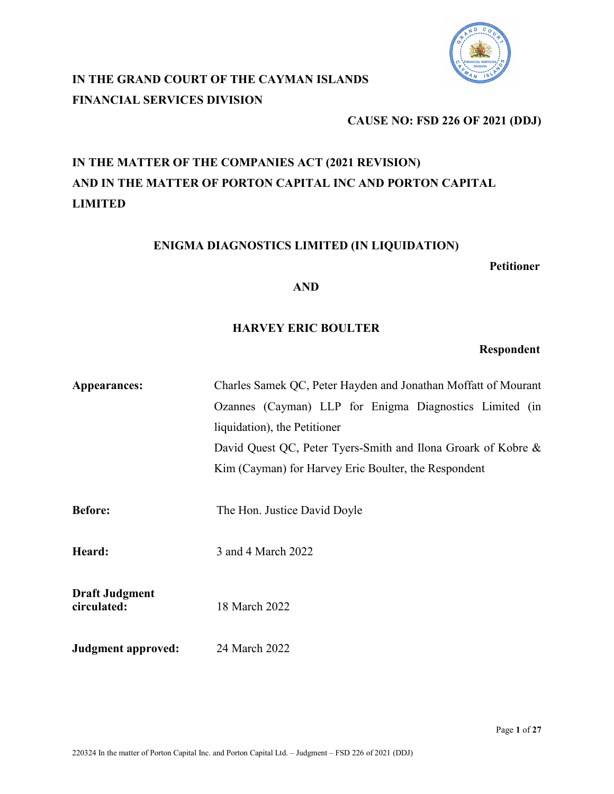

# **IN THE GRAND COURT OF THE CAYMAN ISLANDS FINANCIAL SERVICES DIVISION**

# **CAUSE NO: FSD 226 OF 2021 (DDJ)**

# **IN THE MATTER OF THE COMPANIES ACT (2021 REVISION) AND IN THE MATTER OF PORTON CAPITAL INC AND PORTON CAPITAL LIMITED**

# **ENIGMA DIAGNOSTICS LIMITED (IN LIQUIDATION)**

**Petitioner**

### **AND**

# **HARVEY ERIC BOULTER**

# **Respondent**

| Appearances:                         | Charles Samek QC, Peter Hayden and Jonathan Moffatt of Mourant |
|--------------------------------------|----------------------------------------------------------------|
|                                      | Ozannes (Cayman) LLP for Enigma Diagnostics Limited (in        |
|                                      | liquidation), the Petitioner                                   |
|                                      | David Quest QC, Peter Tyers-Smith and Ilona Groark of Kobre &  |
|                                      | Kim (Cayman) for Harvey Eric Boulter, the Respondent           |
|                                      |                                                                |
| <b>Before:</b>                       | The Hon. Justice David Doyle                                   |
|                                      |                                                                |
| Heard:                               | 3 and 4 March 2022                                             |
|                                      |                                                                |
| <b>Draft Judgment</b><br>circulated: | 18 March 2022                                                  |
|                                      |                                                                |
| Judgment approved:                   | 24 March 2022                                                  |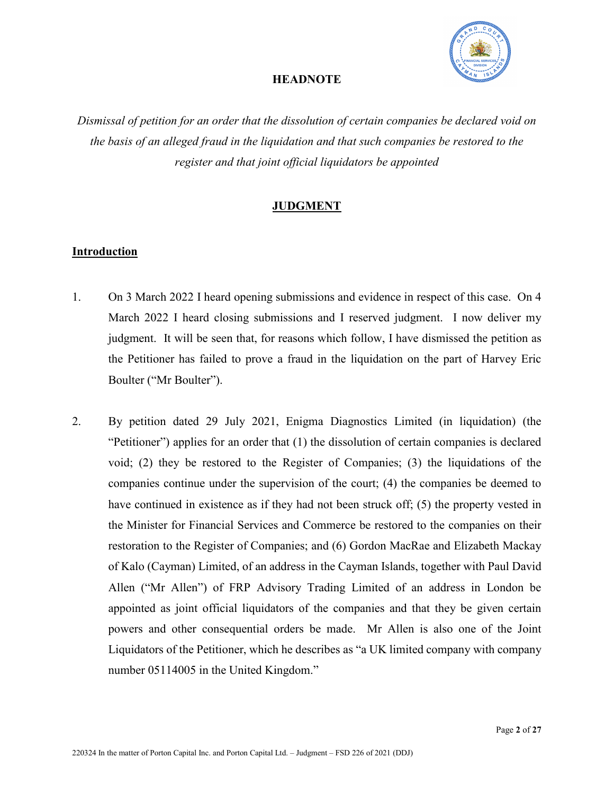

# **HEADNOTE**

*Dismissal of petition for an order that the dissolution of certain companies be declared void on the basis of an alleged fraud in the liquidation and that such companies be restored to the register and that joint official liquidators be appointed*

# **JUDGMENT**

# **Introduction**

- 1. On 3 March 2022 I heard opening submissions and evidence in respect of this case. On 4 March 2022 I heard closing submissions and I reserved judgment. I now deliver my judgment. It will be seen that, for reasons which follow, I have dismissed the petition as the Petitioner has failed to prove a fraud in the liquidation on the part of Harvey Eric Boulter ("Mr Boulter").
- 2. By petition dated 29 July 2021, Enigma Diagnostics Limited (in liquidation) (the "Petitioner") applies for an order that (1) the dissolution of certain companies is declared void; (2) they be restored to the Register of Companies; (3) the liquidations of the companies continue under the supervision of the court; (4) the companies be deemed to have continued in existence as if they had not been struck off; (5) the property vested in the Minister for Financial Services and Commerce be restored to the companies on their restoration to the Register of Companies; and (6) Gordon MacRae and Elizabeth Mackay of Kalo (Cayman) Limited, of an address in the Cayman Islands, together with Paul David Allen ("Mr Allen") of FRP Advisory Trading Limited of an address in London be appointed as joint official liquidators of the companies and that they be given certain powers and other consequential orders be made. Mr Allen is also one of the Joint Liquidators of the Petitioner, which he describes as "a UK limited company with company number 05114005 in the United Kingdom."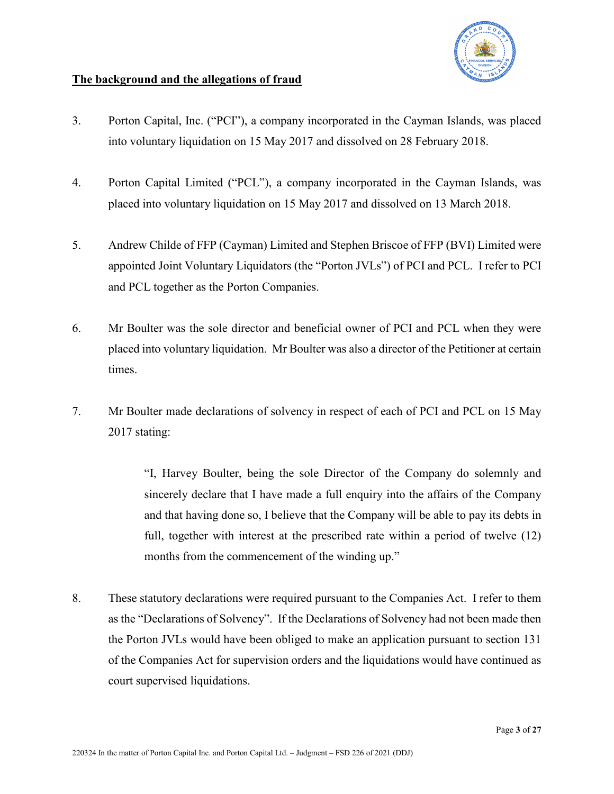

# **The background and the allegations of fraud**

- 3. Porton Capital, Inc. ("PCI"), a company incorporated in the Cayman Islands, was placed into voluntary liquidation on 15 May 2017 and dissolved on 28 February 2018.
- 4. Porton Capital Limited ("PCL"), a company incorporated in the Cayman Islands, was placed into voluntary liquidation on 15 May 2017 and dissolved on 13 March 2018.
- 5. Andrew Childe of FFP (Cayman) Limited and Stephen Briscoe of FFP (BVI) Limited were appointed Joint Voluntary Liquidators (the "Porton JVLs") of PCI and PCL. I refer to PCI and PCL together as the Porton Companies.
- 6. Mr Boulter was the sole director and beneficial owner of PCI and PCL when they were placed into voluntary liquidation. Mr Boulter was also a director of the Petitioner at certain times.
- 7. Mr Boulter made declarations of solvency in respect of each of PCI and PCL on 15 May 2017 stating:

"I, Harvey Boulter, being the sole Director of the Company do solemnly and sincerely declare that I have made a full enquiry into the affairs of the Company and that having done so, I believe that the Company will be able to pay its debts in full, together with interest at the prescribed rate within a period of twelve (12) months from the commencement of the winding up."

8. These statutory declarations were required pursuant to the Companies Act. I refer to them as the "Declarations of Solvency". If the Declarations of Solvency had not been made then the Porton JVLs would have been obliged to make an application pursuant to section 131 of the Companies Act for supervision orders and the liquidations would have continued as court supervised liquidations.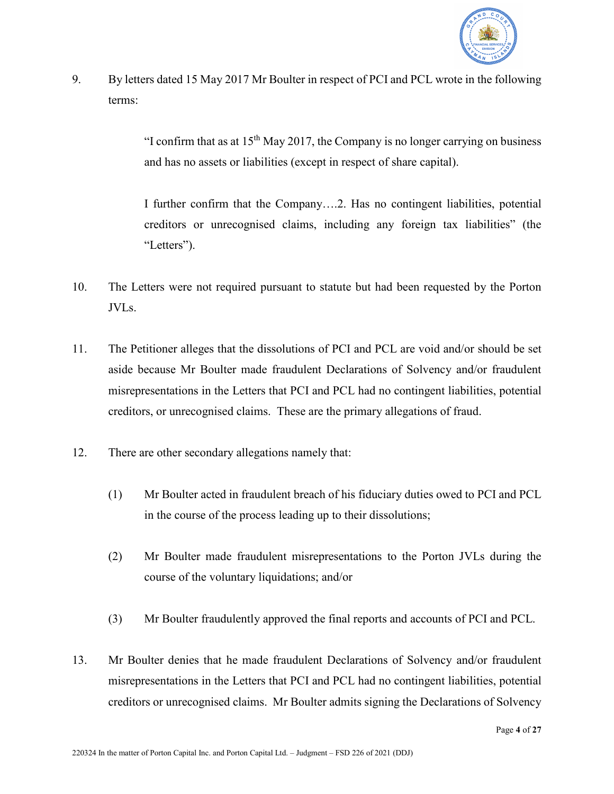

9. By letters dated 15 May 2017 Mr Boulter in respect of PCI and PCL wrote in the following terms:

> "I confirm that as at  $15<sup>th</sup>$  May 2017, the Company is no longer carrying on business and has no assets or liabilities (except in respect of share capital).

> I further confirm that the Company….2. Has no contingent liabilities, potential creditors or unrecognised claims, including any foreign tax liabilities" (the "Letters").

- 10. The Letters were not required pursuant to statute but had been requested by the Porton JVLs.
- 11. The Petitioner alleges that the dissolutions of PCI and PCL are void and/or should be set aside because Mr Boulter made fraudulent Declarations of Solvency and/or fraudulent misrepresentations in the Letters that PCI and PCL had no contingent liabilities, potential creditors, or unrecognised claims. These are the primary allegations of fraud.
- 12. There are other secondary allegations namely that:
	- (1) Mr Boulter acted in fraudulent breach of his fiduciary duties owed to PCI and PCL in the course of the process leading up to their dissolutions;
	- (2) Mr Boulter made fraudulent misrepresentations to the Porton JVLs during the course of the voluntary liquidations; and/or
	- (3) Mr Boulter fraudulently approved the final reports and accounts of PCI and PCL.
- 13. Mr Boulter denies that he made fraudulent Declarations of Solvency and/or fraudulent misrepresentations in the Letters that PCI and PCL had no contingent liabilities, potential creditors or unrecognised claims. Mr Boulter admits signing the Declarations of Solvency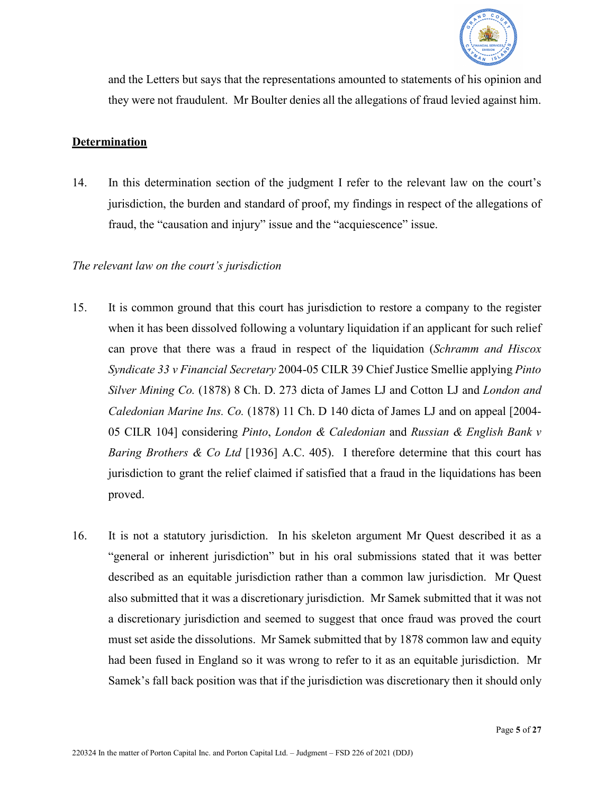

and the Letters but says that the representations amounted to statements of his opinion and they were not fraudulent. Mr Boulter denies all the allegations of fraud levied against him.

### **Determination**

14. In this determination section of the judgment I refer to the relevant law on the court's jurisdiction, the burden and standard of proof, my findings in respect of the allegations of fraud, the "causation and injury" issue and the "acquiescence" issue.

### *The relevant law on the court's jurisdiction*

- 15. It is common ground that this court has jurisdiction to restore a company to the register when it has been dissolved following a voluntary liquidation if an applicant for such relief can prove that there was a fraud in respect of the liquidation (*Schramm and Hiscox Syndicate 33 v Financial Secretary* 2004-05 CILR 39 Chief Justice Smellie applying *Pinto Silver Mining Co.* (1878) 8 Ch. D. 273 dicta of James LJ and Cotton LJ and *London and Caledonian Marine Ins. Co.* (1878) 11 Ch. D 140 dicta of James LJ and on appeal [2004- 05 CILR 104] considering *Pinto*, *London & Caledonian* and *Russian & English Bank v Baring Brothers & Co Ltd* [1936] A.C. 405). I therefore determine that this court has jurisdiction to grant the relief claimed if satisfied that a fraud in the liquidations has been proved.
- 16. It is not a statutory jurisdiction. In his skeleton argument Mr Quest described it as a "general or inherent jurisdiction" but in his oral submissions stated that it was better described as an equitable jurisdiction rather than a common law jurisdiction. Mr Quest also submitted that it was a discretionary jurisdiction. Mr Samek submitted that it was not a discretionary jurisdiction and seemed to suggest that once fraud was proved the court must set aside the dissolutions. Mr Samek submitted that by 1878 common law and equity had been fused in England so it was wrong to refer to it as an equitable jurisdiction. Mr Samek's fall back position was that if the jurisdiction was discretionary then it should only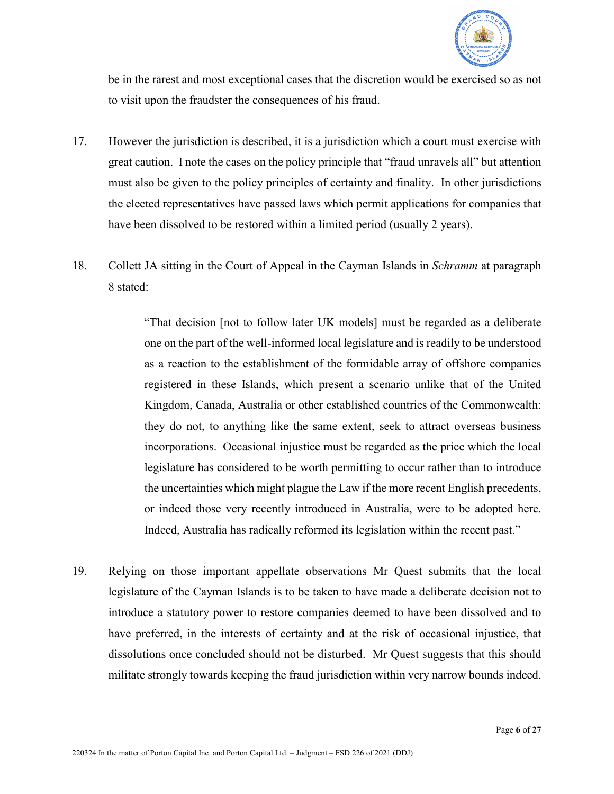

be in the rarest and most exceptional cases that the discretion would be exercised so as not to visit upon the fraudster the consequences of his fraud.

- 17. However the jurisdiction is described, it is a jurisdiction which a court must exercise with great caution. I note the cases on the policy principle that "fraud unravels all" but attention must also be given to the policy principles of certainty and finality. In other jurisdictions the elected representatives have passed laws which permit applications for companies that have been dissolved to be restored within a limited period (usually 2 years).
- 18. Collett JA sitting in the Court of Appeal in the Cayman Islands in *Schramm* at paragraph 8 stated:

"That decision [not to follow later UK models] must be regarded as a deliberate one on the part of the well-informed local legislature and is readily to be understood as a reaction to the establishment of the formidable array of offshore companies registered in these Islands, which present a scenario unlike that of the United Kingdom, Canada, Australia or other established countries of the Commonwealth: they do not, to anything like the same extent, seek to attract overseas business incorporations. Occasional injustice must be regarded as the price which the local legislature has considered to be worth permitting to occur rather than to introduce the uncertainties which might plague the Law if the more recent English precedents, or indeed those very recently introduced in Australia, were to be adopted here. Indeed, Australia has radically reformed its legislation within the recent past."

19. Relying on those important appellate observations Mr Quest submits that the local legislature of the Cayman Islands is to be taken to have made a deliberate decision not to introduce a statutory power to restore companies deemed to have been dissolved and to have preferred, in the interests of certainty and at the risk of occasional injustice, that dissolutions once concluded should not be disturbed. Mr Quest suggests that this should militate strongly towards keeping the fraud jurisdiction within very narrow bounds indeed.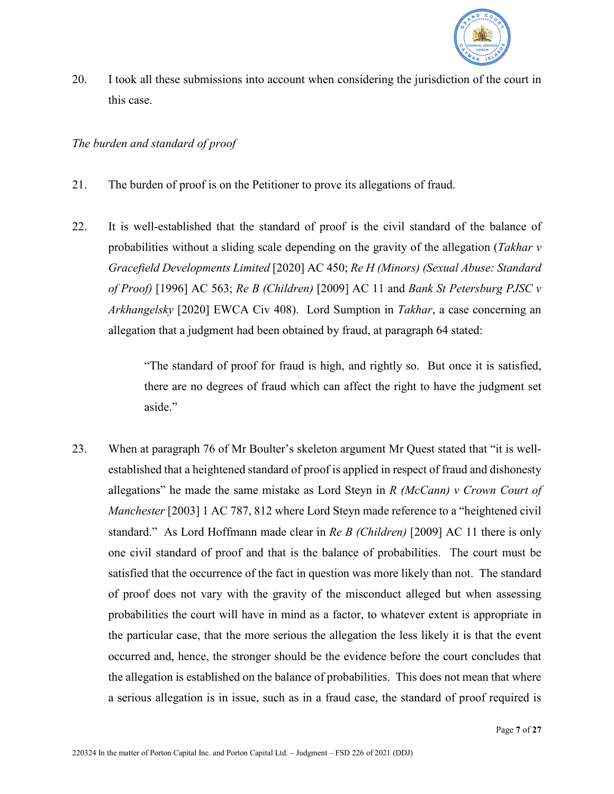

20. I took all these submissions into account when considering the jurisdiction of the court in this case.

# *The burden and standard of proof*

- 21. The burden of proof is on the Petitioner to prove its allegations of fraud.
- 22. It is well-established that the standard of proof is the civil standard of the balance of probabilities without a sliding scale depending on the gravity of the allegation (*Takhar v Gracefield Developments Limited* [2020] AC 450; *Re H (Minors) (Sexual Abuse: Standard of Proof)* [1996] AC 563; *Re B (Children)* [2009] AC 11 and *Bank St Petersburg PJSC v Arkhangelsky* [2020] EWCA Civ 408). Lord Sumption in *Takhar*, a case concerning an allegation that a judgment had been obtained by fraud, at paragraph 64 stated:

"The standard of proof for fraud is high, and rightly so. But once it is satisfied, there are no degrees of fraud which can affect the right to have the judgment set aside."

23. When at paragraph 76 of Mr Boulter's skeleton argument Mr Quest stated that "it is wellestablished that a heightened standard of proof is applied in respect of fraud and dishonesty allegations" he made the same mistake as Lord Steyn in *R (McCann) v Crown Court of Manchester* [2003] 1 AC 787, 812 where Lord Steyn made reference to a "heightened civil standard." As Lord Hoffmann made clear in *Re B (Children)* [2009] AC 11 there is only one civil standard of proof and that is the balance of probabilities. The court must be satisfied that the occurrence of the fact in question was more likely than not. The standard of proof does not vary with the gravity of the misconduct alleged but when assessing probabilities the court will have in mind as a factor, to whatever extent is appropriate in the particular case, that the more serious the allegation the less likely it is that the event occurred and, hence, the stronger should be the evidence before the court concludes that the allegation is established on the balance of probabilities. This does not mean that where a serious allegation is in issue, such as in a fraud case, the standard of proof required is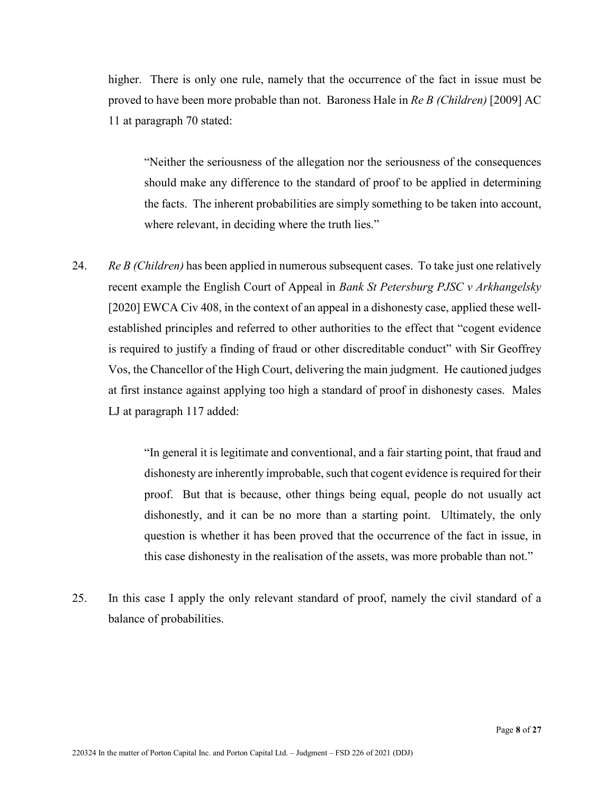higher. There is only one rule, namely that the occurrence of the fact in issue must be proved to have been more probable than not. Baroness Hale in *Re B (Children)* [2009] AC 11 at paragraph 70 stated:

"Neither the seriousness of the allegation nor the seriousness of the consequences should make any difference to the standard of proof to be applied in determining the facts. The inherent probabilities are simply something to be taken into account, where relevant, in deciding where the truth lies."

24. *Re B (Children)* has been applied in numerous subsequent cases. To take just one relatively recent example the English Court of Appeal in *Bank St Petersburg PJSC v Arkhangelsky* [2020] EWCA Civ 408, in the context of an appeal in a dishonesty case, applied these wellestablished principles and referred to other authorities to the effect that "cogent evidence is required to justify a finding of fraud or other discreditable conduct" with Sir Geoffrey Vos, the Chancellor of the High Court, delivering the main judgment. He cautioned judges at first instance against applying too high a standard of proof in dishonesty cases. Males LJ at paragraph 117 added:

> "In general it is legitimate and conventional, and a fair starting point, that fraud and dishonesty are inherently improbable, such that cogent evidence is required for their proof. But that is because, other things being equal, people do not usually act dishonestly, and it can be no more than a starting point. Ultimately, the only question is whether it has been proved that the occurrence of the fact in issue, in this case dishonesty in the realisation of the assets, was more probable than not."

25. In this case I apply the only relevant standard of proof, namely the civil standard of a balance of probabilities.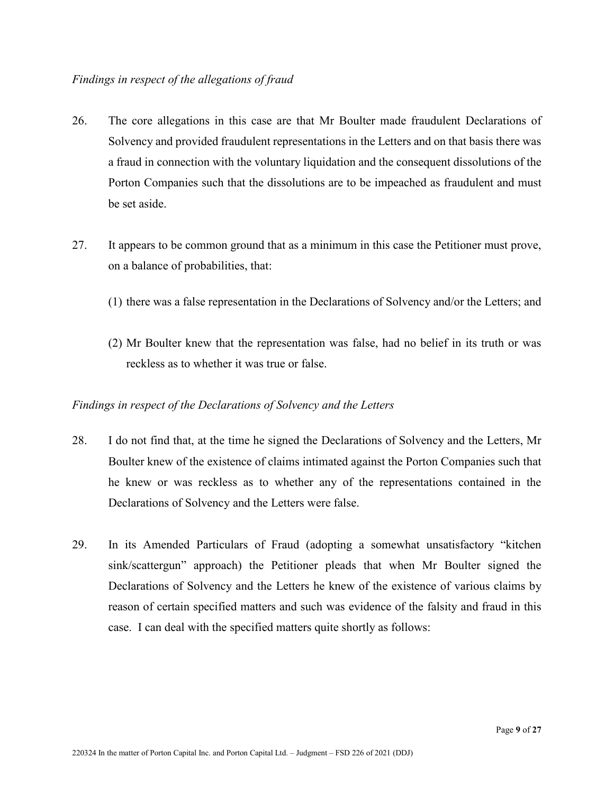- 26. The core allegations in this case are that Mr Boulter made fraudulent Declarations of Solvency and provided fraudulent representations in the Letters and on that basis there was a fraud in connection with the voluntary liquidation and the consequent dissolutions of the Porton Companies such that the dissolutions are to be impeached as fraudulent and must be set aside.
- 27. It appears to be common ground that as a minimum in this case the Petitioner must prove, on a balance of probabilities, that:
	- (1) there was a false representation in the Declarations of Solvency and/or the Letters; and
	- (2) Mr Boulter knew that the representation was false, had no belief in its truth or was reckless as to whether it was true or false.

# *Findings in respect of the Declarations of Solvency and the Letters*

- 28. I do not find that, at the time he signed the Declarations of Solvency and the Letters, Mr Boulter knew of the existence of claims intimated against the Porton Companies such that he knew or was reckless as to whether any of the representations contained in the Declarations of Solvency and the Letters were false.
- 29. In its Amended Particulars of Fraud (adopting a somewhat unsatisfactory "kitchen sink/scattergun" approach) the Petitioner pleads that when Mr Boulter signed the Declarations of Solvency and the Letters he knew of the existence of various claims by reason of certain specified matters and such was evidence of the falsity and fraud in this case. I can deal with the specified matters quite shortly as follows: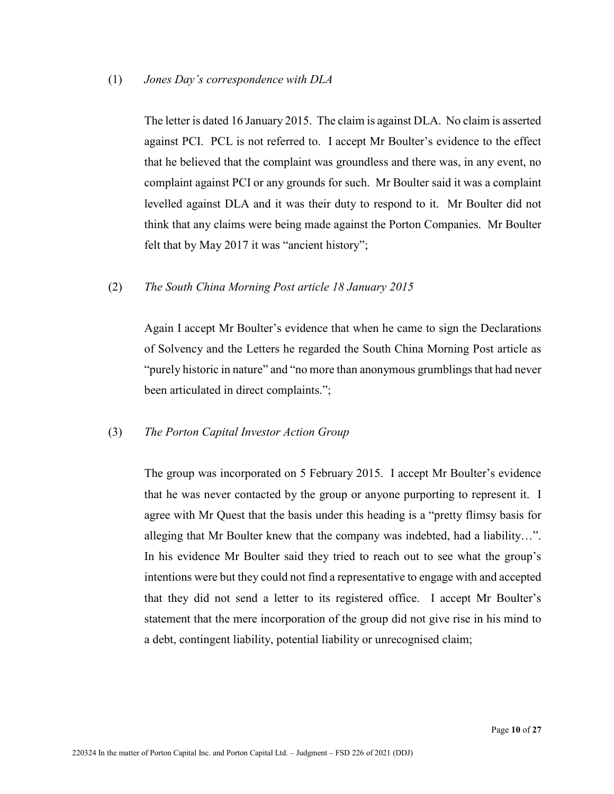(1) *Jones Day's correspondence with DLA*

The letter is dated 16 January 2015. The claim is against DLA. No claim is asserted against PCI. PCL is not referred to. I accept Mr Boulter's evidence to the effect that he believed that the complaint was groundless and there was, in any event, no complaint against PCI or any grounds for such. Mr Boulter said it was a complaint levelled against DLA and it was their duty to respond to it. Mr Boulter did not think that any claims were being made against the Porton Companies. Mr Boulter felt that by May 2017 it was "ancient history";

(2) *The South China Morning Post article 18 January 2015*

Again I accept Mr Boulter's evidence that when he came to sign the Declarations of Solvency and the Letters he regarded the South China Morning Post article as "purely historic in nature" and "no more than anonymous grumblings that had never been articulated in direct complaints.";

#### (3) *The Porton Capital Investor Action Group*

The group was incorporated on 5 February 2015. I accept Mr Boulter's evidence that he was never contacted by the group or anyone purporting to represent it. I agree with Mr Quest that the basis under this heading is a "pretty flimsy basis for alleging that Mr Boulter knew that the company was indebted, had a liability…". In his evidence Mr Boulter said they tried to reach out to see what the group's intentions were but they could not find a representative to engage with and accepted that they did not send a letter to its registered office. I accept Mr Boulter's statement that the mere incorporation of the group did not give rise in his mind to a debt, contingent liability, potential liability or unrecognised claim;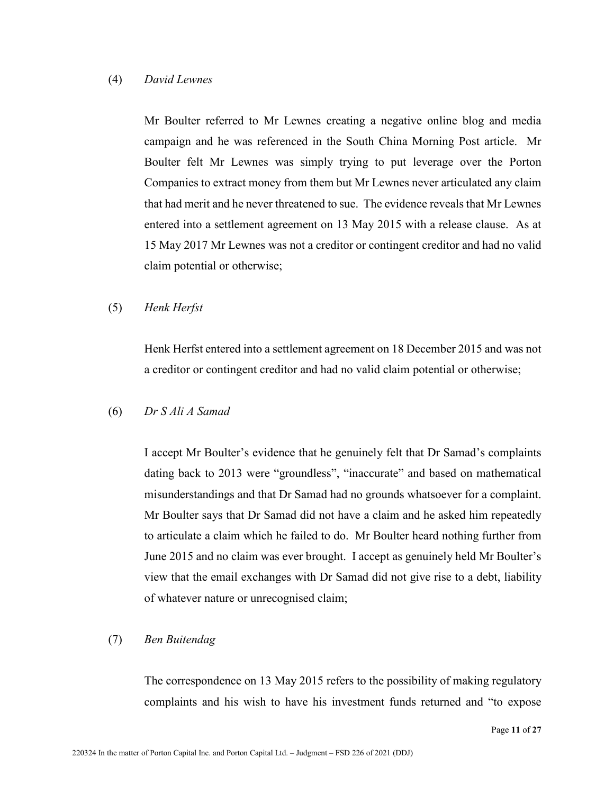#### (4) *David Lewnes*

Mr Boulter referred to Mr Lewnes creating a negative online blog and media campaign and he was referenced in the South China Morning Post article. Mr Boulter felt Mr Lewnes was simply trying to put leverage over the Porton Companies to extract money from them but Mr Lewnes never articulated any claim that had merit and he never threatened to sue. The evidence reveals that Mr Lewnes entered into a settlement agreement on 13 May 2015 with a release clause. As at 15 May 2017 Mr Lewnes was not a creditor or contingent creditor and had no valid claim potential or otherwise;

#### (5) *Henk Herfst*

Henk Herfst entered into a settlement agreement on 18 December 2015 and was not a creditor or contingent creditor and had no valid claim potential or otherwise;

#### (6) *Dr S Ali A Samad*

I accept Mr Boulter's evidence that he genuinely felt that Dr Samad's complaints dating back to 2013 were "groundless", "inaccurate" and based on mathematical misunderstandings and that Dr Samad had no grounds whatsoever for a complaint. Mr Boulter says that Dr Samad did not have a claim and he asked him repeatedly to articulate a claim which he failed to do. Mr Boulter heard nothing further from June 2015 and no claim was ever brought. I accept as genuinely held Mr Boulter's view that the email exchanges with Dr Samad did not give rise to a debt, liability of whatever nature or unrecognised claim;

#### (7) *Ben Buitendag*

The correspondence on 13 May 2015 refers to the possibility of making regulatory complaints and his wish to have his investment funds returned and "to expose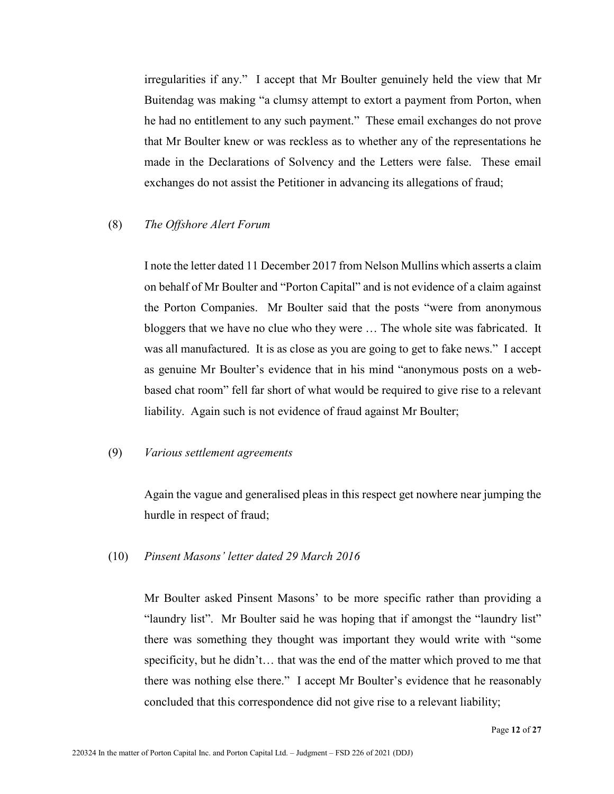irregularities if any." I accept that Mr Boulter genuinely held the view that Mr Buitendag was making "a clumsy attempt to extort a payment from Porton, when he had no entitlement to any such payment." These email exchanges do not prove that Mr Boulter knew or was reckless as to whether any of the representations he made in the Declarations of Solvency and the Letters were false. These email exchanges do not assist the Petitioner in advancing its allegations of fraud;

#### (8) *The Offshore Alert Forum*

I note the letter dated 11 December 2017 from Nelson Mullins which asserts a claim on behalf of Mr Boulter and "Porton Capital" and is not evidence of a claim against the Porton Companies. Mr Boulter said that the posts "were from anonymous bloggers that we have no clue who they were … The whole site was fabricated. It was all manufactured. It is as close as you are going to get to fake news." I accept as genuine Mr Boulter's evidence that in his mind "anonymous posts on a webbased chat room" fell far short of what would be required to give rise to a relevant liability. Again such is not evidence of fraud against Mr Boulter;

#### (9) *Various settlement agreements*

Again the vague and generalised pleas in this respect get nowhere near jumping the hurdle in respect of fraud;

#### (10) *Pinsent Masons' letter dated 29 March 2016*

Mr Boulter asked Pinsent Masons' to be more specific rather than providing a "laundry list". Mr Boulter said he was hoping that if amongst the "laundry list" there was something they thought was important they would write with "some specificity, but he didn't… that was the end of the matter which proved to me that there was nothing else there." I accept Mr Boulter's evidence that he reasonably concluded that this correspondence did not give rise to a relevant liability;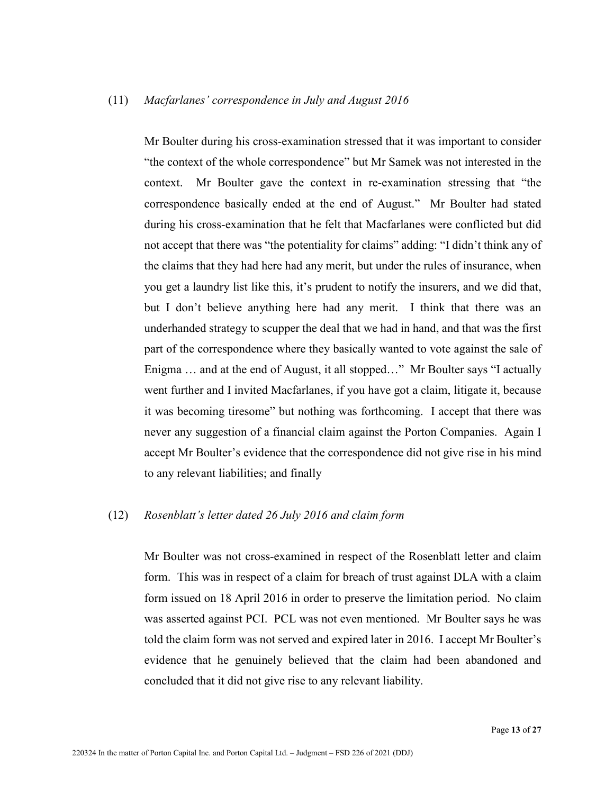#### (11) *Macfarlanes' correspondence in July and August 2016*

Mr Boulter during his cross-examination stressed that it was important to consider "the context of the whole correspondence" but Mr Samek was not interested in the context. Mr Boulter gave the context in re-examination stressing that "the correspondence basically ended at the end of August." Mr Boulter had stated during his cross-examination that he felt that Macfarlanes were conflicted but did not accept that there was "the potentiality for claims" adding: "I didn't think any of the claims that they had here had any merit, but under the rules of insurance, when you get a laundry list like this, it's prudent to notify the insurers, and we did that, but I don't believe anything here had any merit. I think that there was an underhanded strategy to scupper the deal that we had in hand, and that was the first part of the correspondence where they basically wanted to vote against the sale of Enigma … and at the end of August, it all stopped…" Mr Boulter says "I actually went further and I invited Macfarlanes, if you have got a claim, litigate it, because it was becoming tiresome" but nothing was forthcoming. I accept that there was never any suggestion of a financial claim against the Porton Companies. Again I accept Mr Boulter's evidence that the correspondence did not give rise in his mind to any relevant liabilities; and finally

#### (12) *Rosenblatt's letter dated 26 July 2016 and claim form*

Mr Boulter was not cross-examined in respect of the Rosenblatt letter and claim form. This was in respect of a claim for breach of trust against DLA with a claim form issued on 18 April 2016 in order to preserve the limitation period. No claim was asserted against PCI. PCL was not even mentioned. Mr Boulter says he was told the claim form was not served and expired later in 2016. I accept Mr Boulter's evidence that he genuinely believed that the claim had been abandoned and concluded that it did not give rise to any relevant liability.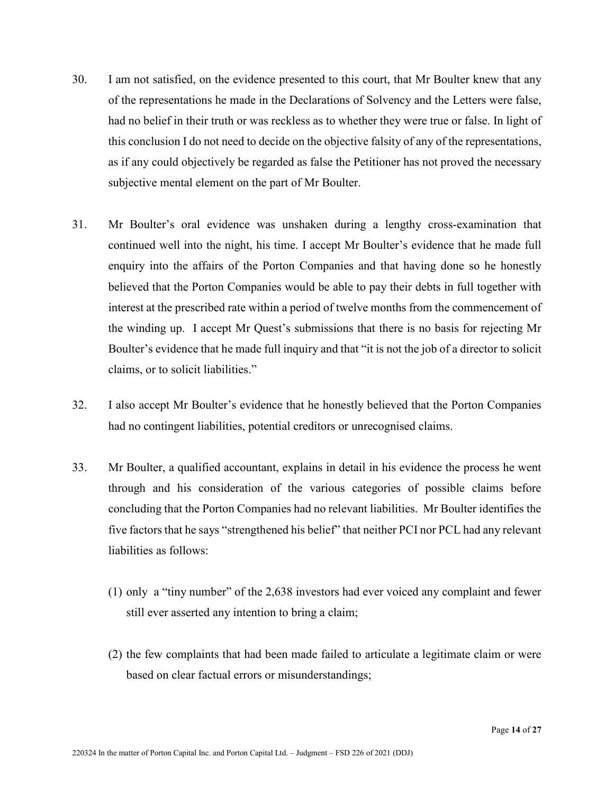- 30. I am not satisfied, on the evidence presented to this court, that Mr Boulter knew that any of the representations he made in the Declarations of Solvency and the Letters were false, had no belief in their truth or was reckless as to whether they were true or false. In light of this conclusion I do not need to decide on the objective falsity of any of the representations, as if any could objectively be regarded as false the Petitioner has not proved the necessary subjective mental element on the part of Mr Boulter.
- 31. Mr Boulter's oral evidence was unshaken during a lengthy cross-examination that continued well into the night, his time. I accept Mr Boulter's evidence that he made full enquiry into the affairs of the Porton Companies and that having done so he honestly believed that the Porton Companies would be able to pay their debts in full together with interest at the prescribed rate within a period of twelve months from the commencement of the winding up. I accept Mr Quest's submissions that there is no basis for rejecting Mr Boulter's evidence that he made full inquiry and that "it is not the job of a director to solicit claims, or to solicit liabilities."
- 32. I also accept Mr Boulter's evidence that he honestly believed that the Porton Companies had no contingent liabilities, potential creditors or unrecognised claims.
- 33. Mr Boulter, a qualified accountant, explains in detail in his evidence the process he went through and his consideration of the various categories of possible claims before concluding that the Porton Companies had no relevant liabilities. Mr Boulter identifies the five factors that he says "strengthened his belief" that neither PCI nor PCL had any relevant liabilities as follows:
	- (1) only a "tiny number" of the 2,638 investors had ever voiced any complaint and fewer still ever asserted any intention to bring a claim;
	- (2) the few complaints that had been made failed to articulate a legitimate claim or were based on clear factual errors or misunderstandings;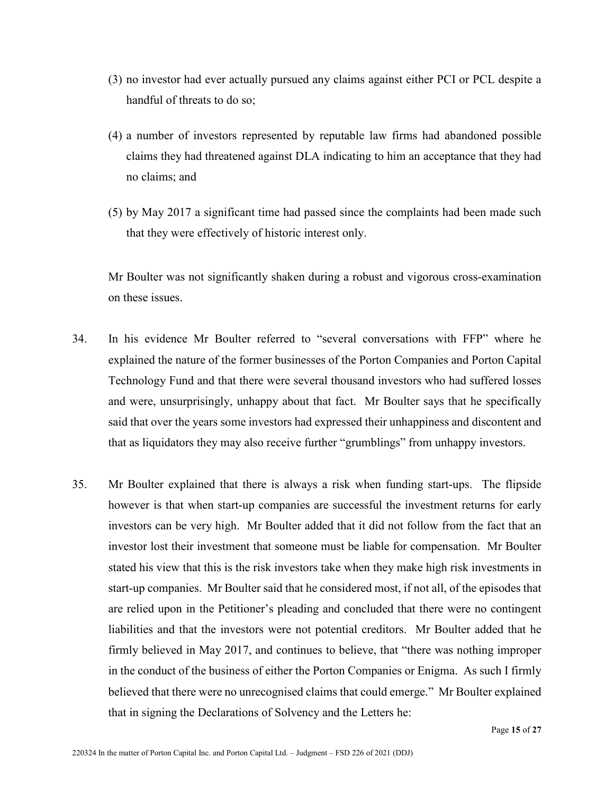- (3) no investor had ever actually pursued any claims against either PCI or PCL despite a handful of threats to do so;
- (4) a number of investors represented by reputable law firms had abandoned possible claims they had threatened against DLA indicating to him an acceptance that they had no claims; and
- (5) by May 2017 a significant time had passed since the complaints had been made such that they were effectively of historic interest only.

Mr Boulter was not significantly shaken during a robust and vigorous cross-examination on these issues.

- 34. In his evidence Mr Boulter referred to "several conversations with FFP" where he explained the nature of the former businesses of the Porton Companies and Porton Capital Technology Fund and that there were several thousand investors who had suffered losses and were, unsurprisingly, unhappy about that fact. Mr Boulter says that he specifically said that over the years some investors had expressed their unhappiness and discontent and that as liquidators they may also receive further "grumblings" from unhappy investors.
- 35. Mr Boulter explained that there is always a risk when funding start-ups. The flipside however is that when start-up companies are successful the investment returns for early investors can be very high. Mr Boulter added that it did not follow from the fact that an investor lost their investment that someone must be liable for compensation. Mr Boulter stated his view that this is the risk investors take when they make high risk investments in start-up companies. Mr Boulter said that he considered most, if not all, of the episodes that are relied upon in the Petitioner's pleading and concluded that there were no contingent liabilities and that the investors were not potential creditors. Mr Boulter added that he firmly believed in May 2017, and continues to believe, that "there was nothing improper in the conduct of the business of either the Porton Companies or Enigma. As such I firmly believed that there were no unrecognised claims that could emerge." Mr Boulter explained that in signing the Declarations of Solvency and the Letters he: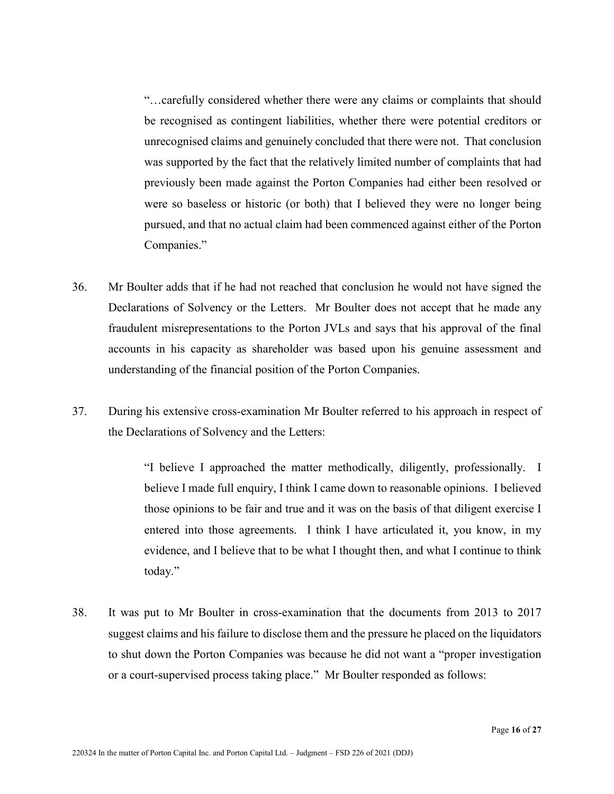"…carefully considered whether there were any claims or complaints that should be recognised as contingent liabilities, whether there were potential creditors or unrecognised claims and genuinely concluded that there were not. That conclusion was supported by the fact that the relatively limited number of complaints that had previously been made against the Porton Companies had either been resolved or were so baseless or historic (or both) that I believed they were no longer being pursued, and that no actual claim had been commenced against either of the Porton Companies."

- 36. Mr Boulter adds that if he had not reached that conclusion he would not have signed the Declarations of Solvency or the Letters. Mr Boulter does not accept that he made any fraudulent misrepresentations to the Porton JVLs and says that his approval of the final accounts in his capacity as shareholder was based upon his genuine assessment and understanding of the financial position of the Porton Companies.
- 37. During his extensive cross-examination Mr Boulter referred to his approach in respect of the Declarations of Solvency and the Letters:

"I believe I approached the matter methodically, diligently, professionally. I believe I made full enquiry, I think I came down to reasonable opinions. I believed those opinions to be fair and true and it was on the basis of that diligent exercise I entered into those agreements. I think I have articulated it, you know, in my evidence, and I believe that to be what I thought then, and what I continue to think today."

38. It was put to Mr Boulter in cross-examination that the documents from 2013 to 2017 suggest claims and his failure to disclose them and the pressure he placed on the liquidators to shut down the Porton Companies was because he did not want a "proper investigation or a court-supervised process taking place." Mr Boulter responded as follows: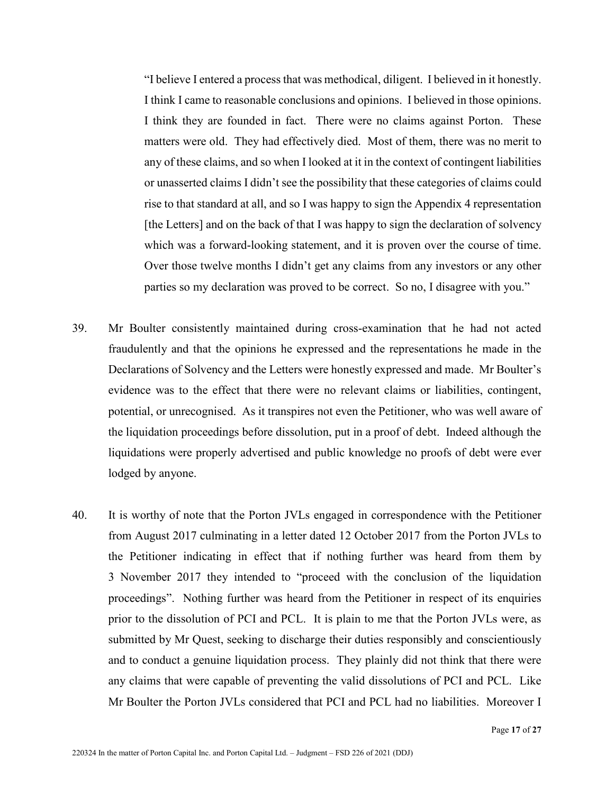"I believe I entered a process that was methodical, diligent. I believed in it honestly. I think I came to reasonable conclusions and opinions. I believed in those opinions. I think they are founded in fact. There were no claims against Porton. These matters were old. They had effectively died. Most of them, there was no merit to any of these claims, and so when I looked at it in the context of contingent liabilities or unasserted claims I didn't see the possibility that these categories of claims could rise to that standard at all, and so I was happy to sign the Appendix 4 representation [the Letters] and on the back of that I was happy to sign the declaration of solvency which was a forward-looking statement, and it is proven over the course of time. Over those twelve months I didn't get any claims from any investors or any other parties so my declaration was proved to be correct. So no, I disagree with you."

- 39. Mr Boulter consistently maintained during cross-examination that he had not acted fraudulently and that the opinions he expressed and the representations he made in the Declarations of Solvency and the Letters were honestly expressed and made. Mr Boulter's evidence was to the effect that there were no relevant claims or liabilities, contingent, potential, or unrecognised. As it transpires not even the Petitioner, who was well aware of the liquidation proceedings before dissolution, put in a proof of debt. Indeed although the liquidations were properly advertised and public knowledge no proofs of debt were ever lodged by anyone.
- 40. It is worthy of note that the Porton JVLs engaged in correspondence with the Petitioner from August 2017 culminating in a letter dated 12 October 2017 from the Porton JVLs to the Petitioner indicating in effect that if nothing further was heard from them by 3 November 2017 they intended to "proceed with the conclusion of the liquidation proceedings". Nothing further was heard from the Petitioner in respect of its enquiries prior to the dissolution of PCI and PCL. It is plain to me that the Porton JVLs were, as submitted by Mr Quest, seeking to discharge their duties responsibly and conscientiously and to conduct a genuine liquidation process. They plainly did not think that there were any claims that were capable of preventing the valid dissolutions of PCI and PCL. Like Mr Boulter the Porton JVLs considered that PCI and PCL had no liabilities. Moreover I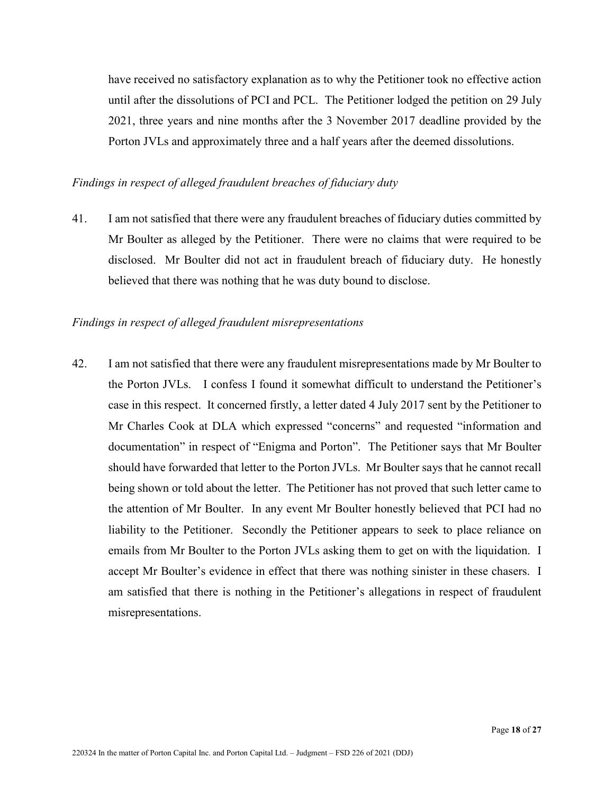have received no satisfactory explanation as to why the Petitioner took no effective action until after the dissolutions of PCI and PCL. The Petitioner lodged the petition on 29 July 2021, three years and nine months after the 3 November 2017 deadline provided by the Porton JVLs and approximately three and a half years after the deemed dissolutions.

#### *Findings in respect of alleged fraudulent breaches of fiduciary duty*

41. I am not satisfied that there were any fraudulent breaches of fiduciary duties committed by Mr Boulter as alleged by the Petitioner. There were no claims that were required to be disclosed. Mr Boulter did not act in fraudulent breach of fiduciary duty. He honestly believed that there was nothing that he was duty bound to disclose.

#### *Findings in respect of alleged fraudulent misrepresentations*

42. I am not satisfied that there were any fraudulent misrepresentations made by Mr Boulter to the Porton JVLs. I confess I found it somewhat difficult to understand the Petitioner's case in this respect. It concerned firstly, a letter dated 4 July 2017 sent by the Petitioner to Mr Charles Cook at DLA which expressed "concerns" and requested "information and documentation" in respect of "Enigma and Porton". The Petitioner says that Mr Boulter should have forwarded that letter to the Porton JVLs. Mr Boulter says that he cannot recall being shown or told about the letter. The Petitioner has not proved that such letter came to the attention of Mr Boulter. In any event Mr Boulter honestly believed that PCI had no liability to the Petitioner. Secondly the Petitioner appears to seek to place reliance on emails from Mr Boulter to the Porton JVLs asking them to get on with the liquidation. I accept Mr Boulter's evidence in effect that there was nothing sinister in these chasers. I am satisfied that there is nothing in the Petitioner's allegations in respect of fraudulent misrepresentations.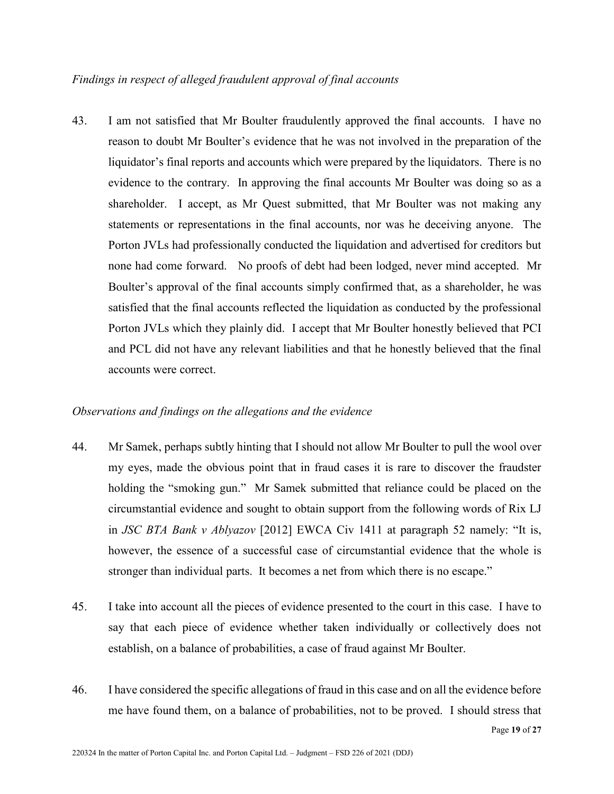43. I am not satisfied that Mr Boulter fraudulently approved the final accounts. I have no reason to doubt Mr Boulter's evidence that he was not involved in the preparation of the liquidator's final reports and accounts which were prepared by the liquidators. There is no evidence to the contrary. In approving the final accounts Mr Boulter was doing so as a shareholder. I accept, as Mr Quest submitted, that Mr Boulter was not making any statements or representations in the final accounts, nor was he deceiving anyone. The Porton JVLs had professionally conducted the liquidation and advertised for creditors but none had come forward. No proofs of debt had been lodged, never mind accepted. Mr Boulter's approval of the final accounts simply confirmed that, as a shareholder, he was satisfied that the final accounts reflected the liquidation as conducted by the professional Porton JVLs which they plainly did. I accept that Mr Boulter honestly believed that PCI and PCL did not have any relevant liabilities and that he honestly believed that the final accounts were correct.

#### *Observations and findings on the allegations and the evidence*

- 44. Mr Samek, perhaps subtly hinting that I should not allow Mr Boulter to pull the wool over my eyes, made the obvious point that in fraud cases it is rare to discover the fraudster holding the "smoking gun." Mr Samek submitted that reliance could be placed on the circumstantial evidence and sought to obtain support from the following words of Rix LJ in *JSC BTA Bank v Ablyazov* [2012] EWCA Civ 1411 at paragraph 52 namely: "It is, however, the essence of a successful case of circumstantial evidence that the whole is stronger than individual parts. It becomes a net from which there is no escape."
- 45. I take into account all the pieces of evidence presented to the court in this case. I have to say that each piece of evidence whether taken individually or collectively does not establish, on a balance of probabilities, a case of fraud against Mr Boulter.
- 46. I have considered the specific allegations of fraud in this case and on all the evidence before me have found them, on a balance of probabilities, not to be proved. I should stress that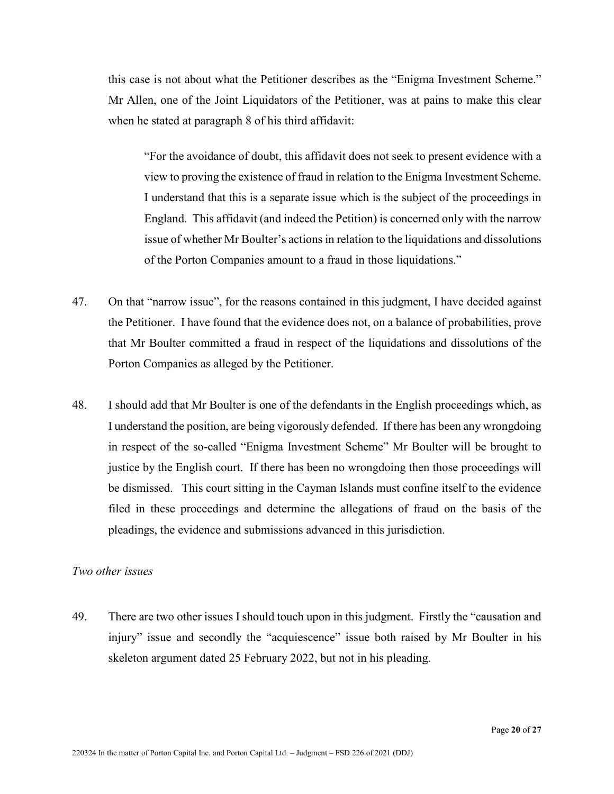this case is not about what the Petitioner describes as the "Enigma Investment Scheme." Mr Allen, one of the Joint Liquidators of the Petitioner, was at pains to make this clear when he stated at paragraph 8 of his third affidavit:

"For the avoidance of doubt, this affidavit does not seek to present evidence with a view to proving the existence of fraud in relation to the Enigma Investment Scheme. I understand that this is a separate issue which is the subject of the proceedings in England. This affidavit (and indeed the Petition) is concerned only with the narrow issue of whether Mr Boulter's actions in relation to the liquidations and dissolutions of the Porton Companies amount to a fraud in those liquidations."

- 47. On that "narrow issue", for the reasons contained in this judgment, I have decided against the Petitioner. I have found that the evidence does not, on a balance of probabilities, prove that Mr Boulter committed a fraud in respect of the liquidations and dissolutions of the Porton Companies as alleged by the Petitioner.
- 48. I should add that Mr Boulter is one of the defendants in the English proceedings which, as I understand the position, are being vigorously defended. If there has been any wrongdoing in respect of the so-called "Enigma Investment Scheme" Mr Boulter will be brought to justice by the English court. If there has been no wrongdoing then those proceedings will be dismissed. This court sitting in the Cayman Islands must confine itself to the evidence filed in these proceedings and determine the allegations of fraud on the basis of the pleadings, the evidence and submissions advanced in this jurisdiction.

#### *Two other issues*

49. There are two other issues I should touch upon in this judgment. Firstly the "causation and injury" issue and secondly the "acquiescence" issue both raised by Mr Boulter in his skeleton argument dated 25 February 2022, but not in his pleading.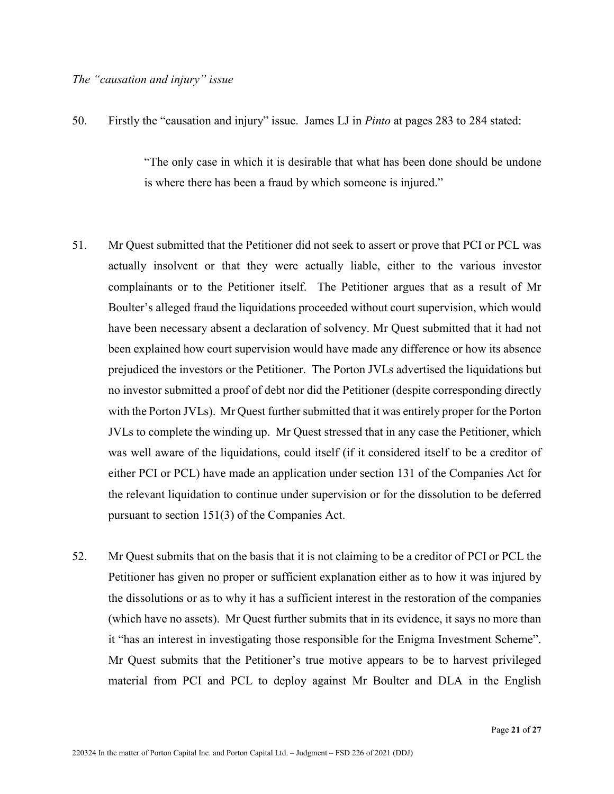50. Firstly the "causation and injury" issue. James LJ in *Pinto* at pages 283 to 284 stated:

"The only case in which it is desirable that what has been done should be undone is where there has been a fraud by which someone is injured."

- 51. Mr Quest submitted that the Petitioner did not seek to assert or prove that PCI or PCL was actually insolvent or that they were actually liable, either to the various investor complainants or to the Petitioner itself. The Petitioner argues that as a result of Mr Boulter's alleged fraud the liquidations proceeded without court supervision, which would have been necessary absent a declaration of solvency. Mr Quest submitted that it had not been explained how court supervision would have made any difference or how its absence prejudiced the investors or the Petitioner. The Porton JVLs advertised the liquidations but no investor submitted a proof of debt nor did the Petitioner (despite corresponding directly with the Porton JVLs). Mr Quest further submitted that it was entirely proper for the Porton JVLs to complete the winding up. Mr Quest stressed that in any case the Petitioner, which was well aware of the liquidations, could itself (if it considered itself to be a creditor of either PCI or PCL) have made an application under section 131 of the Companies Act for the relevant liquidation to continue under supervision or for the dissolution to be deferred pursuant to section 151(3) of the Companies Act.
- 52. Mr Quest submits that on the basis that it is not claiming to be a creditor of PCI or PCL the Petitioner has given no proper or sufficient explanation either as to how it was injured by the dissolutions or as to why it has a sufficient interest in the restoration of the companies (which have no assets). Mr Quest further submits that in its evidence, it says no more than it "has an interest in investigating those responsible for the Enigma Investment Scheme". Mr Quest submits that the Petitioner's true motive appears to be to harvest privileged material from PCI and PCL to deploy against Mr Boulter and DLA in the English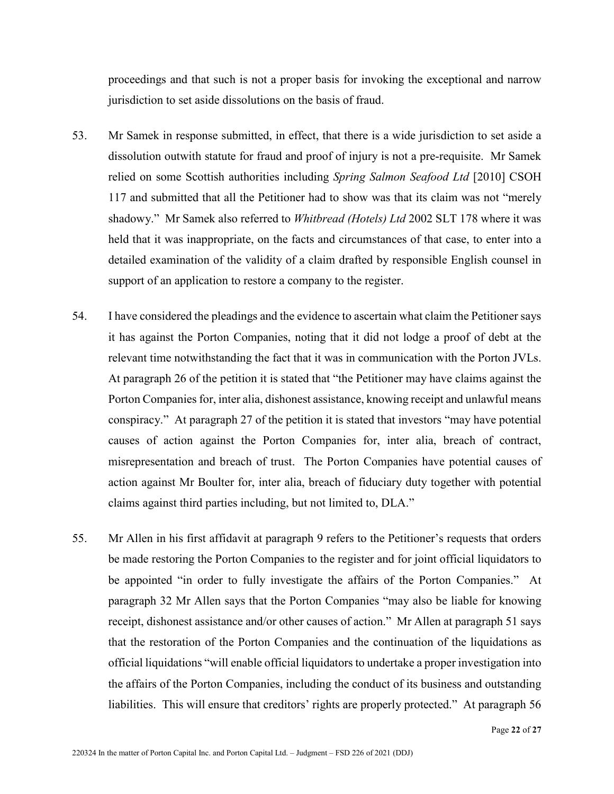proceedings and that such is not a proper basis for invoking the exceptional and narrow jurisdiction to set aside dissolutions on the basis of fraud.

- 53. Mr Samek in response submitted, in effect, that there is a wide jurisdiction to set aside a dissolution outwith statute for fraud and proof of injury is not a pre-requisite. Mr Samek relied on some Scottish authorities including *Spring Salmon Seafood Ltd* [2010] CSOH 117 and submitted that all the Petitioner had to show was that its claim was not "merely shadowy." Mr Samek also referred to *Whitbread (Hotels) Ltd* 2002 SLT 178 where it was held that it was inappropriate, on the facts and circumstances of that case, to enter into a detailed examination of the validity of a claim drafted by responsible English counsel in support of an application to restore a company to the register.
- 54. I have considered the pleadings and the evidence to ascertain what claim the Petitioner says it has against the Porton Companies, noting that it did not lodge a proof of debt at the relevant time notwithstanding the fact that it was in communication with the Porton JVLs. At paragraph 26 of the petition it is stated that "the Petitioner may have claims against the Porton Companies for, inter alia, dishonest assistance, knowing receipt and unlawful means conspiracy." At paragraph 27 of the petition it is stated that investors "may have potential causes of action against the Porton Companies for, inter alia, breach of contract, misrepresentation and breach of trust. The Porton Companies have potential causes of action against Mr Boulter for, inter alia, breach of fiduciary duty together with potential claims against third parties including, but not limited to, DLA."
- 55. Mr Allen in his first affidavit at paragraph 9 refers to the Petitioner's requests that orders be made restoring the Porton Companies to the register and for joint official liquidators to be appointed "in order to fully investigate the affairs of the Porton Companies." At paragraph 32 Mr Allen says that the Porton Companies "may also be liable for knowing receipt, dishonest assistance and/or other causes of action." Mr Allen at paragraph 51 says that the restoration of the Porton Companies and the continuation of the liquidations as official liquidations "will enable official liquidators to undertake a proper investigation into the affairs of the Porton Companies, including the conduct of its business and outstanding liabilities. This will ensure that creditors' rights are properly protected." At paragraph 56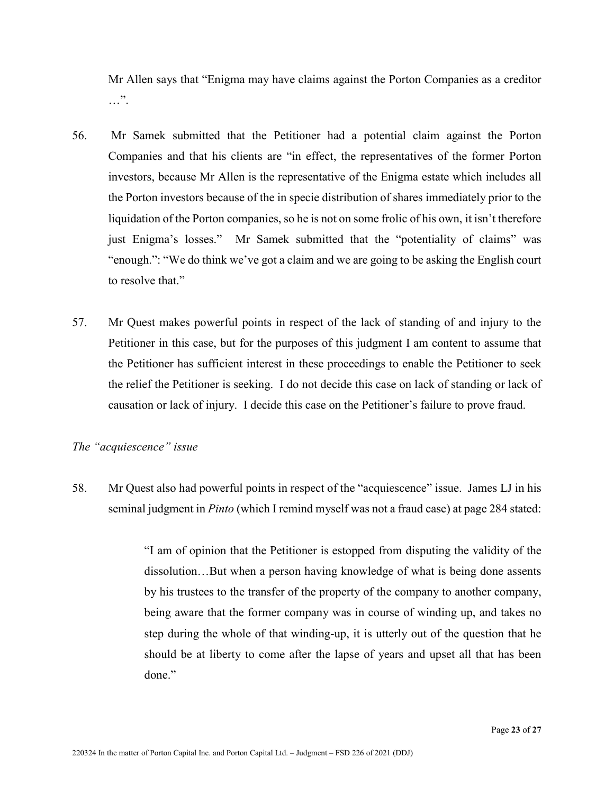Mr Allen says that "Enigma may have claims against the Porton Companies as a creditor …".

- 56. Mr Samek submitted that the Petitioner had a potential claim against the Porton Companies and that his clients are "in effect, the representatives of the former Porton investors, because Mr Allen is the representative of the Enigma estate which includes all the Porton investors because of the in specie distribution of shares immediately prior to the liquidation of the Porton companies, so he is not on some frolic of his own, it isn't therefore just Enigma's losses." Mr Samek submitted that the "potentiality of claims" was "enough.": "We do think we've got a claim and we are going to be asking the English court to resolve that."
- 57. Mr Quest makes powerful points in respect of the lack of standing of and injury to the Petitioner in this case, but for the purposes of this judgment I am content to assume that the Petitioner has sufficient interest in these proceedings to enable the Petitioner to seek the relief the Petitioner is seeking. I do not decide this case on lack of standing or lack of causation or lack of injury. I decide this case on the Petitioner's failure to prove fraud.

#### *The "acquiescence" issue*

58. Mr Quest also had powerful points in respect of the "acquiescence" issue. James LJ in his seminal judgment in *Pinto* (which I remind myself was not a fraud case) at page 284 stated:

> "I am of opinion that the Petitioner is estopped from disputing the validity of the dissolution…But when a person having knowledge of what is being done assents by his trustees to the transfer of the property of the company to another company, being aware that the former company was in course of winding up, and takes no step during the whole of that winding-up, it is utterly out of the question that he should be at liberty to come after the lapse of years and upset all that has been done."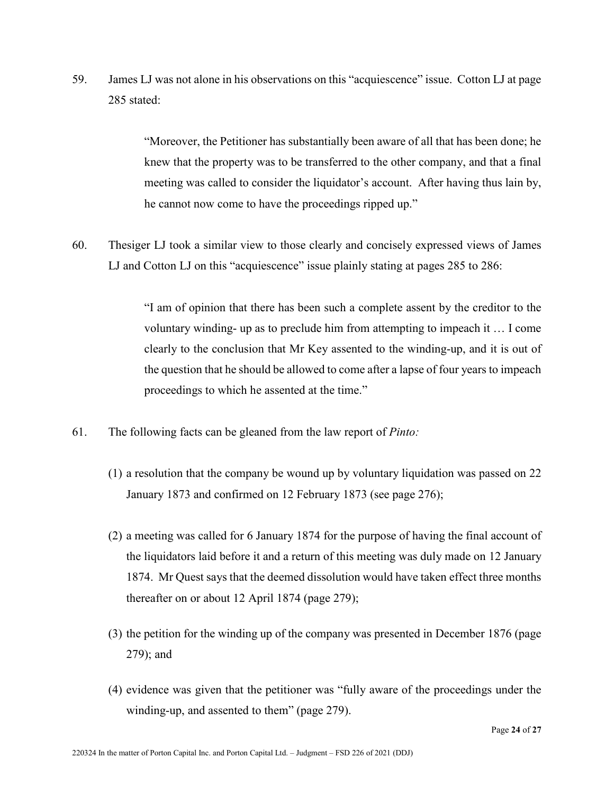59. James LJ was not alone in his observations on this "acquiescence" issue. Cotton LJ at page 285 stated:

> "Moreover, the Petitioner has substantially been aware of all that has been done; he knew that the property was to be transferred to the other company, and that a final meeting was called to consider the liquidator's account. After having thus lain by, he cannot now come to have the proceedings ripped up."

60. Thesiger LJ took a similar view to those clearly and concisely expressed views of James LJ and Cotton LJ on this "acquiescence" issue plainly stating at pages 285 to 286:

> "I am of opinion that there has been such a complete assent by the creditor to the voluntary winding- up as to preclude him from attempting to impeach it … I come clearly to the conclusion that Mr Key assented to the winding-up, and it is out of the question that he should be allowed to come after a lapse of four years to impeach proceedings to which he assented at the time."

- 61. The following facts can be gleaned from the law report of *Pinto:*
	- (1) a resolution that the company be wound up by voluntary liquidation was passed on 22 January 1873 and confirmed on 12 February 1873 (see page 276);
	- (2) a meeting was called for 6 January 1874 for the purpose of having the final account of the liquidators laid before it and a return of this meeting was duly made on 12 January 1874. Mr Quest says that the deemed dissolution would have taken effect three months thereafter on or about 12 April 1874 (page 279);
	- (3) the petition for the winding up of the company was presented in December 1876 (page 279); and
	- (4) evidence was given that the petitioner was "fully aware of the proceedings under the winding-up, and assented to them" (page 279).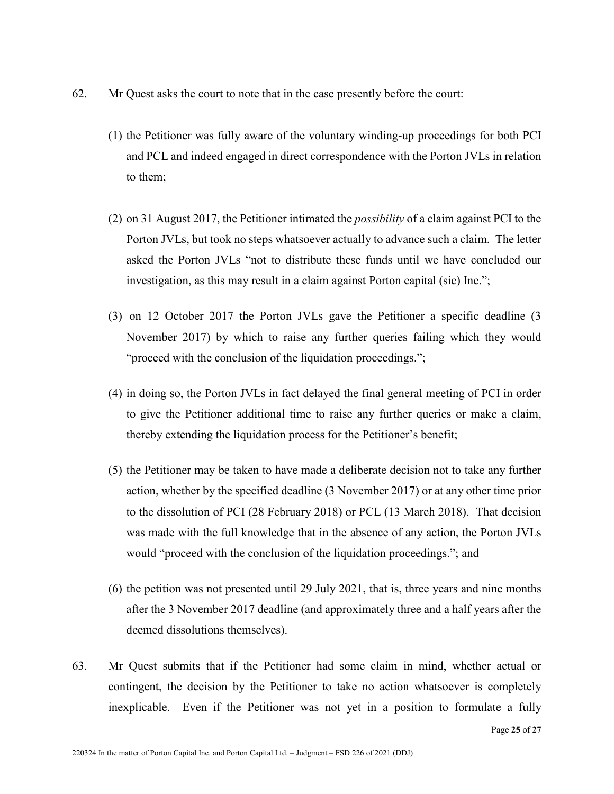- 62. Mr Quest asks the court to note that in the case presently before the court:
	- (1) the Petitioner was fully aware of the voluntary winding-up proceedings for both PCI and PCL and indeed engaged in direct correspondence with the Porton JVLs in relation to them;
	- (2) on 31 August 2017, the Petitioner intimated the *possibility* of a claim against PCI to the Porton JVLs, but took no steps whatsoever actually to advance such a claim. The letter asked the Porton JVLs "not to distribute these funds until we have concluded our investigation, as this may result in a claim against Porton capital (sic) Inc.";
	- (3) on 12 October 2017 the Porton JVLs gave the Petitioner a specific deadline (3 November 2017) by which to raise any further queries failing which they would "proceed with the conclusion of the liquidation proceedings.";
	- (4) in doing so, the Porton JVLs in fact delayed the final general meeting of PCI in order to give the Petitioner additional time to raise any further queries or make a claim, thereby extending the liquidation process for the Petitioner's benefit;
	- (5) the Petitioner may be taken to have made a deliberate decision not to take any further action, whether by the specified deadline (3 November 2017) or at any other time prior to the dissolution of PCI (28 February 2018) or PCL (13 March 2018). That decision was made with the full knowledge that in the absence of any action, the Porton JVLs would "proceed with the conclusion of the liquidation proceedings."; and
	- (6) the petition was not presented until 29 July 2021, that is, three years and nine months after the 3 November 2017 deadline (and approximately three and a half years after the deemed dissolutions themselves).
- 63. Mr Quest submits that if the Petitioner had some claim in mind, whether actual or contingent, the decision by the Petitioner to take no action whatsoever is completely inexplicable. Even if the Petitioner was not yet in a position to formulate a fully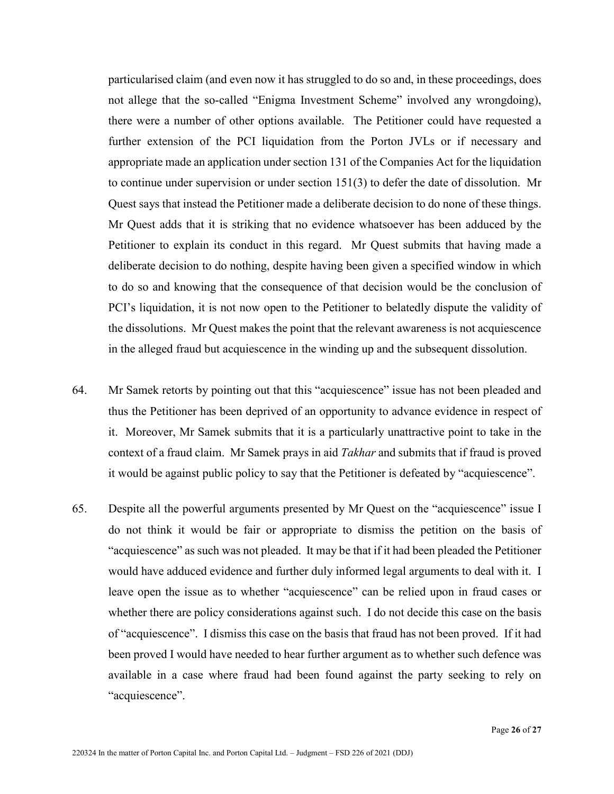particularised claim (and even now it has struggled to do so and, in these proceedings, does not allege that the so-called "Enigma Investment Scheme" involved any wrongdoing), there were a number of other options available. The Petitioner could have requested a further extension of the PCI liquidation from the Porton JVLs or if necessary and appropriate made an application under section 131 of the Companies Act for the liquidation to continue under supervision or under section 151(3) to defer the date of dissolution. Mr Quest says that instead the Petitioner made a deliberate decision to do none of these things. Mr Quest adds that it is striking that no evidence whatsoever has been adduced by the Petitioner to explain its conduct in this regard. Mr Quest submits that having made a deliberate decision to do nothing, despite having been given a specified window in which to do so and knowing that the consequence of that decision would be the conclusion of PCI's liquidation, it is not now open to the Petitioner to belatedly dispute the validity of the dissolutions. Mr Quest makes the point that the relevant awareness is not acquiescence in the alleged fraud but acquiescence in the winding up and the subsequent dissolution.

- 64. Mr Samek retorts by pointing out that this "acquiescence" issue has not been pleaded and thus the Petitioner has been deprived of an opportunity to advance evidence in respect of it. Moreover, Mr Samek submits that it is a particularly unattractive point to take in the context of a fraud claim. Mr Samek prays in aid *Takhar* and submits that if fraud is proved it would be against public policy to say that the Petitioner is defeated by "acquiescence".
- 65. Despite all the powerful arguments presented by Mr Quest on the "acquiescence" issue I do not think it would be fair or appropriate to dismiss the petition on the basis of "acquiescence" as such was not pleaded. It may be that if it had been pleaded the Petitioner would have adduced evidence and further duly informed legal arguments to deal with it. I leave open the issue as to whether "acquiescence" can be relied upon in fraud cases or whether there are policy considerations against such. I do not decide this case on the basis of "acquiescence". I dismiss this case on the basis that fraud has not been proved. If it had been proved I would have needed to hear further argument as to whether such defence was available in a case where fraud had been found against the party seeking to rely on "acquiescence".